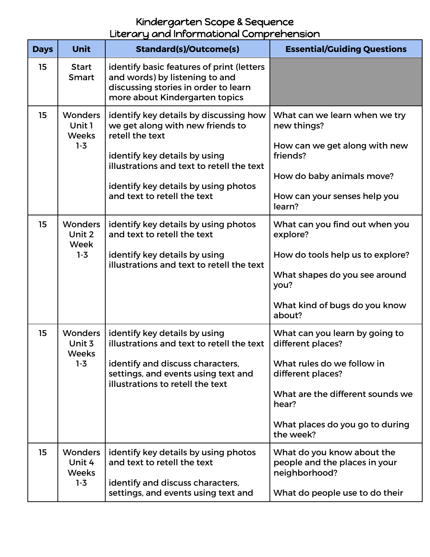## Kindergarten Scope & Sequence Literary and Informational Comprehension

| <b>Days</b> | <b>Unit</b>                                         | <b>Standard(s)/Outcome(s)</b>                                                                                                                                                                                                                      | <b>Essential/Guiding Questions</b>                                                                                                                                                                  |
|-------------|-----------------------------------------------------|----------------------------------------------------------------------------------------------------------------------------------------------------------------------------------------------------------------------------------------------------|-----------------------------------------------------------------------------------------------------------------------------------------------------------------------------------------------------|
| 15          | <b>Start</b><br><b>Smart</b>                        | identify basic features of print (letters<br>and words) by listening to and<br>discussing stories in order to learn<br>more about Kindergarten topics                                                                                              |                                                                                                                                                                                                     |
| 15          | <b>Wonders</b><br>Unit 1<br><b>Weeks</b><br>$1 - 3$ | identify key details by discussing how<br>we get along with new friends to<br>retell the text<br>identify key details by using<br>illustrations and text to retell the text<br>identify key details by using photos<br>and text to retell the text | What can we learn when we try<br>new things?<br>How can we get along with new<br>friends?<br>How do baby animals move?<br>How can your senses help you<br>learn?                                    |
| 15          | <b>Wonders</b><br>Unit 2<br>Week<br>$1-3$           | identify key details by using photos<br>and text to retell the text<br>identify key details by using<br>illustrations and text to retell the text                                                                                                  | What can you find out when you<br>explore?<br>How do tools help us to explore?<br>What shapes do you see around<br>you?<br>What kind of bugs do you know<br>about?                                  |
| 15          | <b>Wonders</b><br>Unit 3<br><b>Weeks</b><br>$1 - 3$ | identify key details by using<br>illustrations and text to retell the text<br>identify and discuss characters,<br>settings, and events using text and<br>illustrations to retell the text                                                          | What can you learn by going to<br>different places?<br>What rules do we follow in<br>different places?<br>What are the different sounds we<br>hear?<br>What places do you go to during<br>the week? |
| 15          | <b>Wonders</b><br>Unit 4<br><b>Weeks</b><br>$1 - 3$ | identify key details by using photos<br>and text to retell the text<br>identify and discuss characters,<br>settings, and events using text and                                                                                                     | What do you know about the<br>people and the places in your<br>neighborhood?<br>What do people use to do their                                                                                      |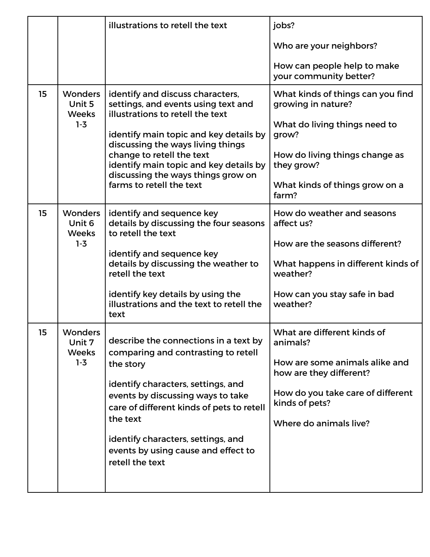|    |                                                     | illustrations to retell the text                                                                                                                                                                                                                                                                                              | jobs?                                                                                                                                                                                 |
|----|-----------------------------------------------------|-------------------------------------------------------------------------------------------------------------------------------------------------------------------------------------------------------------------------------------------------------------------------------------------------------------------------------|---------------------------------------------------------------------------------------------------------------------------------------------------------------------------------------|
|    |                                                     |                                                                                                                                                                                                                                                                                                                               | Who are your neighbors?                                                                                                                                                               |
|    |                                                     |                                                                                                                                                                                                                                                                                                                               | How can people help to make<br>your community better?                                                                                                                                 |
| 15 | <b>Wonders</b><br>Unit 5<br><b>Weeks</b><br>$1 - 3$ | identify and discuss characters,<br>settings, and events using text and<br>illustrations to retell the text<br>identify main topic and key details by<br>discussing the ways living things<br>change to retell the text<br>identify main topic and key details by                                                             | What kinds of things can you find<br>growing in nature?<br>What do living things need to<br>grow?<br>How do living things change as<br>they grow?                                     |
|    |                                                     | discussing the ways things grow on<br>farms to retell the text                                                                                                                                                                                                                                                                | What kinds of things grow on a<br>farm?                                                                                                                                               |
| 15 | <b>Wonders</b><br>Unit 6<br><b>Weeks</b>            | identify and sequence key<br>details by discussing the four seasons<br>to retell the text                                                                                                                                                                                                                                     | How do weather and seasons<br>affect us?                                                                                                                                              |
|    | $1-3$                                               | identify and sequence key<br>details by discussing the weather to<br>retell the text                                                                                                                                                                                                                                          | How are the seasons different?<br>What happens in different kinds of<br>weather?                                                                                                      |
|    |                                                     | identify key details by using the<br>illustrations and the text to retell the<br>text                                                                                                                                                                                                                                         | How can you stay safe in bad<br>weather?                                                                                                                                              |
| 15 | Wonders<br>Unit 7<br><b>Weeks</b><br>$1 - 3$        | describe the connections in a text by<br>comparing and contrasting to retell<br>the story<br>identify characters, settings, and<br>events by discussing ways to take<br>care of different kinds of pets to retell<br>the text<br>identify characters, settings, and<br>events by using cause and effect to<br>retell the text | What are different kinds of<br>animals?<br>How are some animals alike and<br>how are they different?<br>How do you take care of different<br>kinds of pets?<br>Where do animals live? |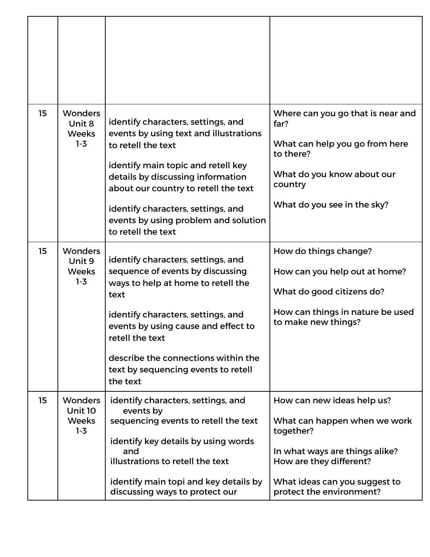| 15 | <b>Wonders</b><br>Unit 8<br><b>Weeks</b><br>$1-3$         | identify characters, settings, and<br>events by using text and illustrations<br>to retell the text<br>identify main topic and retell key<br>details by discussing information<br>about our country to retell the text | Where can you go that is near and<br>far?<br>What can help you go from here<br>to there?<br>What do you know about our<br>country |
|----|-----------------------------------------------------------|-----------------------------------------------------------------------------------------------------------------------------------------------------------------------------------------------------------------------|-----------------------------------------------------------------------------------------------------------------------------------|
|    |                                                           | identify characters, settings, and<br>events by using problem and solution<br>to retell the text                                                                                                                      | What do you see in the sky?                                                                                                       |
| 15 | <b>Wonders</b><br>Unit 9<br><b>Weeks</b><br>$1-3$         | identify characters, settings, and<br>sequence of events by discussing<br>ways to help at home to retell the<br>text                                                                                                  | How do things change?<br>How can you help out at home?<br>What do good citizens do?                                               |
|    |                                                           | identify characters, settings, and<br>events by using cause and effect to<br>retell the text                                                                                                                          | How can things in nature be used<br>to make new things?                                                                           |
|    |                                                           | describe the connections within the<br>text by sequencing events to retell<br>the text                                                                                                                                |                                                                                                                                   |
| 15 | <b>Wonders</b><br><b>Unit 10</b><br><b>Weeks</b><br>$1-3$ | identify characters, settings, and<br>events by<br>sequencing events to retell the text                                                                                                                               | How can new ideas help us?<br>What can happen when we work<br>together?                                                           |
|    |                                                           | identify key details by using words<br>and<br>illustrations to retell the text                                                                                                                                        | In what ways are things alike?<br>How are they different?                                                                         |
|    |                                                           | identify main topi and key details by<br>discussing ways to protect our                                                                                                                                               | What ideas can you suggest to<br>protect the environment?                                                                         |